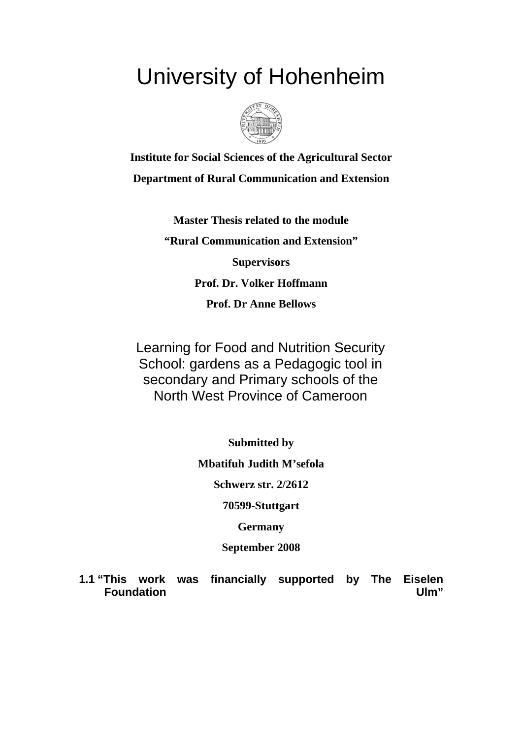## University of Hohenheim



**Institute for Social Sciences of the Agricultural Sector Department of Rural Communication and Extension** 

> **Master Thesis related to the module "Rural Communication and Extension" Supervisors Prof. Dr. Volker Hoffmann Prof. Dr Anne Bellows**

Learning for Food and Nutrition Security School: gardens as a Pedagogic tool in secondary and Primary schools of the North West Province of Cameroon

**Submitted by** 

**Mbatifuh Judith M'sefola** 

**Schwerz str. 2/2612** 

**70599-Stuttgart** 

**Germany** 

**September 2008** 

**1.1 "This work was financially supported by The Eiselen Foundation** Ulm"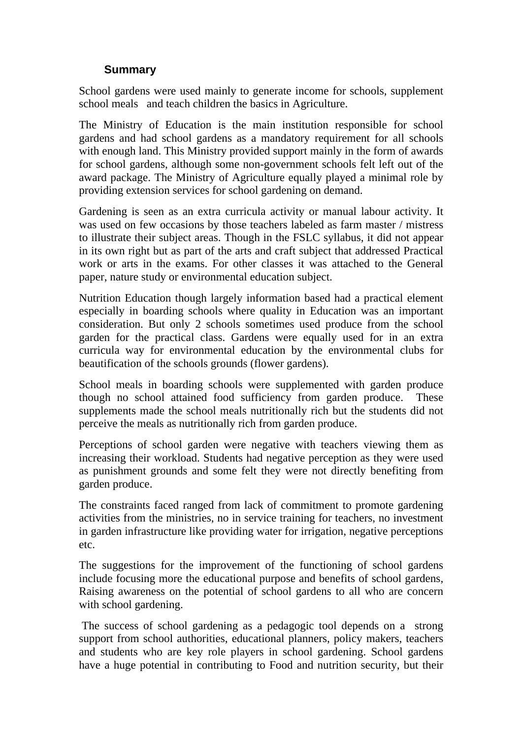## **Summary**

School gardens were used mainly to generate income for schools, supplement school meals and teach children the basics in Agriculture.

The Ministry of Education is the main institution responsible for school gardens and had school gardens as a mandatory requirement for all schools with enough land. This Ministry provided support mainly in the form of awards for school gardens, although some non-government schools felt left out of the award package. The Ministry of Agriculture equally played a minimal role by providing extension services for school gardening on demand.

Gardening is seen as an extra curricula activity or manual labour activity. It was used on few occasions by those teachers labeled as farm master / mistress to illustrate their subject areas. Though in the FSLC syllabus, it did not appear in its own right but as part of the arts and craft subject that addressed Practical work or arts in the exams. For other classes it was attached to the General paper, nature study or environmental education subject.

Nutrition Education though largely information based had a practical element especially in boarding schools where quality in Education was an important consideration. But only 2 schools sometimes used produce from the school garden for the practical class. Gardens were equally used for in an extra curricula way for environmental education by the environmental clubs for beautification of the schools grounds (flower gardens).

School meals in boarding schools were supplemented with garden produce though no school attained food sufficiency from garden produce. These supplements made the school meals nutritionally rich but the students did not perceive the meals as nutritionally rich from garden produce.

Perceptions of school garden were negative with teachers viewing them as increasing their workload. Students had negative perception as they were used as punishment grounds and some felt they were not directly benefiting from garden produce.

The constraints faced ranged from lack of commitment to promote gardening activities from the ministries, no in service training for teachers, no investment in garden infrastructure like providing water for irrigation, negative perceptions etc.

The suggestions for the improvement of the functioning of school gardens include focusing more the educational purpose and benefits of school gardens, Raising awareness on the potential of school gardens to all who are concern with school gardening.

 The success of school gardening as a pedagogic tool depends on a strong support from school authorities, educational planners, policy makers, teachers and students who are key role players in school gardening. School gardens have a huge potential in contributing to Food and nutrition security, but their